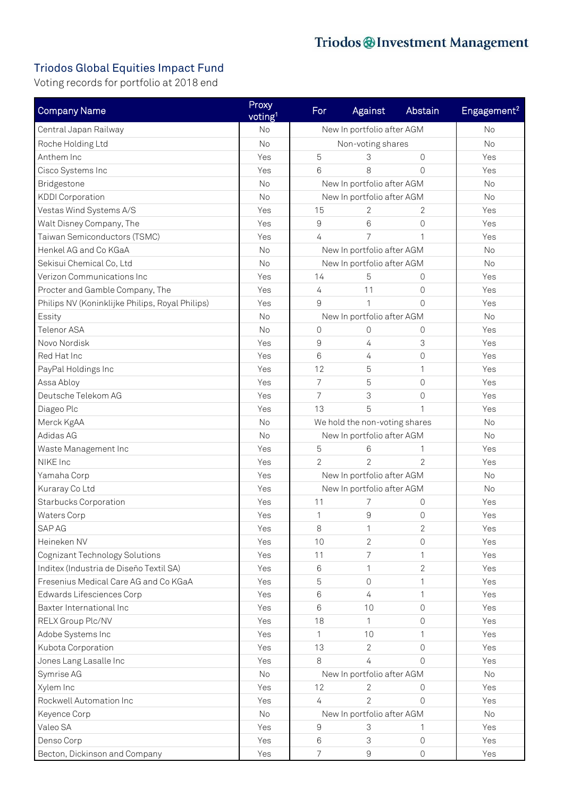## Triodos Global Equities Impact Fund

Voting records for portfolio at 2018 end

| <b>Company Name</b>                             | Proxy<br>voting <sup>1</sup> | For                           | Against                    | Abstain             | Engagement <sup>2</sup> |
|-------------------------------------------------|------------------------------|-------------------------------|----------------------------|---------------------|-------------------------|
| Central Japan Railway                           | <b>No</b>                    | New In portfolio after AGM    |                            |                     | <b>No</b>               |
| Roche Holding Ltd                               | <b>No</b>                    | Non-voting shares             |                            |                     | <b>No</b>               |
| Anthem Inc                                      | Yes                          | 5                             | 3                          | $\Omega$            | Yes                     |
| Cisco Systems Inc                               | Yes                          | 6                             | 8                          | $\Omega$            | Yes                     |
| Bridgestone                                     | <b>No</b>                    |                               | New In portfolio after AGM |                     | No                      |
| <b>KDDI</b> Corporation                         | <b>No</b>                    | New In portfolio after AGM    |                            |                     | <b>No</b>               |
| Vestas Wind Systems A/S                         | Yes                          | 15                            | 2                          | 2                   | Yes                     |
| Walt Disney Company, The                        | Yes                          | $\hbox{9}$                    | 6                          | $\Omega$            | Yes                     |
| Taiwan Semiconductors (TSMC)                    | Yes                          | $\overline{4}$                | 7                          |                     | Yes                     |
| Henkel AG and Co KGaA                           | No                           | New In portfolio after AGM    |                            |                     | No                      |
| Sekisui Chemical Co, Ltd                        | <b>No</b>                    | New In portfolio after AGM    |                            |                     | No                      |
| Verizon Communications Inc                      | Yes                          | 14                            | 5                          | $\Omega$            | Yes                     |
| Procter and Gamble Company, The                 | Yes                          | $\overline{4}$                | 11                         | $\Omega$            | Yes                     |
| Philips NV (Koninklijke Philips, Royal Philips) | Yes                          | 9                             | $\mathbf{1}$               | $\Omega$            | Yes                     |
| Essity                                          | <b>No</b>                    | New In portfolio after AGM    |                            |                     | No                      |
| Telenor ASA                                     | No                           | $\mathbf 0$                   | $\Omega$                   | 0                   | Yes                     |
| Novo Nordisk                                    | Yes                          | $\mathsf 9$                   | 4                          | 3                   | Yes                     |
| Red Hat Inc                                     | Yes                          | $6\phantom{1}6$               | 4                          | $\Omega$            | Yes                     |
| PayPal Holdings Inc                             | Yes                          | 12                            | 5                          | 1                   | Yes                     |
| Assa Abloy                                      | Yes                          | 7                             | 5                          | 0                   | Yes                     |
| Deutsche Telekom AG                             | Yes                          | 7                             | 3                          | $\overline{0}$      | Yes                     |
| Diageo Plc                                      | Yes                          | 13                            | 5                          | 1                   | Yes                     |
| Merck KgAA                                      | <b>No</b>                    | We hold the non-voting shares |                            |                     | No                      |
| Adidas AG                                       | <b>No</b>                    | New In portfolio after AGM    |                            |                     | <b>No</b>               |
| Waste Management Inc                            | Yes                          | 5                             | 6                          |                     | Yes                     |
| NIKE Inc                                        | Yes                          | $\overline{2}$                | $\overline{2}$             | $\overline{2}$      | Yes                     |
| Yamaha Corp                                     | Yes                          | New In portfolio after AGM    |                            |                     | No                      |
| Kuraray Co Ltd                                  | Yes                          | New In portfolio after AGM    |                            |                     | No                      |
| <b>Starbucks Corporation</b>                    | Yes                          | 11                            | 7                          | 0                   | Yes                     |
| Waters Corp                                     | Yes                          | 1                             | 9                          | $\overline{0}$      | Yes                     |
| SAP AG                                          | Yes                          | 8                             | 1                          | 2                   | Yes                     |
| Heineken NV                                     | Yes                          | 10                            | $\overline{2}$             | $\Omega$            | Yes                     |
| Cognizant Technology Solutions                  | Yes                          | 11                            | 7                          |                     | Yes                     |
| Inditex (Industria de Diseño Textil SA)         | Yes                          | 6                             | 1                          | 2                   | Yes                     |
| Fresenius Medical Care AG and Co KGaA           | Yes                          | 5                             | $\Omega$                   | 1                   | Yes                     |
| Edwards Lifesciences Corp                       | Yes                          | 6                             | 4                          | 1                   | Yes                     |
| Baxter International Inc                        | Yes                          | 6                             | 10                         | 0                   | Yes                     |
| RELX Group Plc/NV                               | Yes                          | 18                            | 1                          | $\Omega$            | Yes                     |
| Adobe Systems Inc                               | Yes                          | 1                             | 10                         |                     | Yes                     |
| Kubota Corporation                              | Yes                          | 13                            | $\overline{2}$             | $\Omega$            | Yes                     |
| Jones Lang Lasalle Inc                          | Yes                          | 8                             | 4                          | $\Omega$            | Yes                     |
| Symrise AG                                      | No                           | New In portfolio after AGM    |                            |                     | No                      |
| Xylem Inc                                       | Yes                          | 12                            | 2                          | $\Omega$            | Yes                     |
| Rockwell Automation Inc                         | Yes                          | $\overline{4}$                | $\overline{2}$             | $\Omega$            | Yes                     |
| Keyence Corp                                    | No                           | New In portfolio after AGM    |                            |                     | No                      |
| Valeo SA                                        | Yes                          | 9                             | 3                          |                     | Yes                     |
| Denso Corp                                      | Yes                          | 6                             | 3                          | $\Omega$            | Yes                     |
| Becton, Dickinson and Company                   | Yes                          | $\overline{7}$                | $\hbox{9}$                 | $\mathsf{O}\xspace$ | Yes                     |